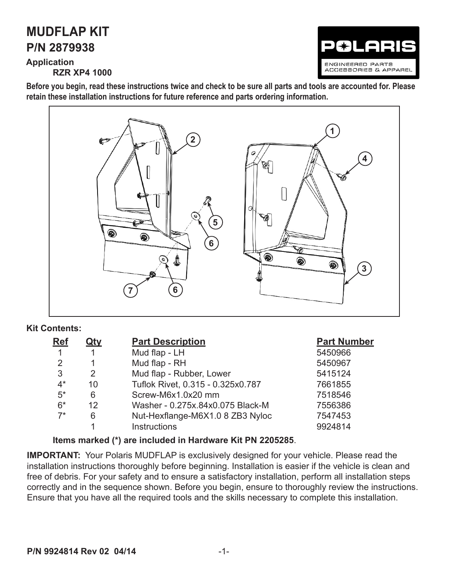# **P/N 2879938 MUDFLAP KIT**

**Application RZR XP4 1000**



**Before you begin, read these instructions twice and check to be sure all parts and tools are accounted for. Please retain these installation instructions for future reference and parts ordering information.**



#### **Kit Contents:**

| <b>Ref</b> | <b>Qty</b>            | <b>Part Description</b>           | <b>Part Number</b> |
|------------|-----------------------|-----------------------------------|--------------------|
|            |                       | Mud flap - LH                     | 5450966            |
| 2          |                       | Mud flap - RH                     | 5450967            |
| 3          | $\mathbf{2}^{\prime}$ | Mud flap - Rubber, Lower          | 5415124            |
| $4^*$      | 10                    | Tuflok Rivet, 0.315 - 0.325x0.787 | 7661855            |
| $5^*$      | 6                     | Screw-M6x1.0x20 mm                | 7518546            |
| $6*$       | 12                    | Washer - 0.275x.84x0.075 Black-M  | 7556386            |
| $7*$       | 6                     | Nut-Hexflange-M6X1.0 8 ZB3 Nyloc  | 7547453            |
|            |                       | <b>Instructions</b>               | 9924814            |

#### **Items marked (\*) are included in Hardware Kit PN 2205285**.

**IMPORTANT:** Your Polaris MUDFLAP is exclusively designed for your vehicle. Please read the installation instructions thoroughly before beginning. Installation is easier if the vehicle is clean and free of debris. For your safety and to ensure a satisfactory installation, perform all installation steps correctly and in the sequence shown. Before you begin, ensure to thoroughly review the instructions. Ensure that you have all the required tools and the skills necessary to complete this installation.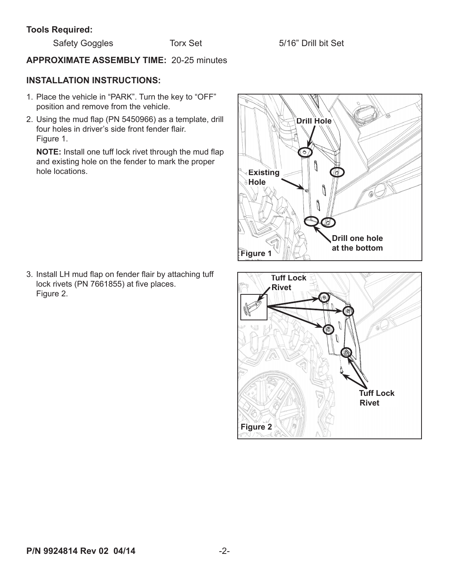#### **Tools Required:**

## **APPROXIMATE ASSEMBLY TIME:** 20-25 minutes

### **INSTALLATION INSTRUCTIONS:**

- 1. Place the vehicle in "PARK". Turn the key to "OFF" position and remove from the vehicle.
- 2. Using the mud flap (PN 5450966) as a template, drill four holes in driver's side front fender flair. Figure 1.

**NOTE:** Install one tuff lock rivet through the mud flap and existing hole on the fender to mark the proper hole locations.

3. Install LH mud flap on fender flair by attaching tuff lock rivets (PN 7661855) at five places. Figure 2.